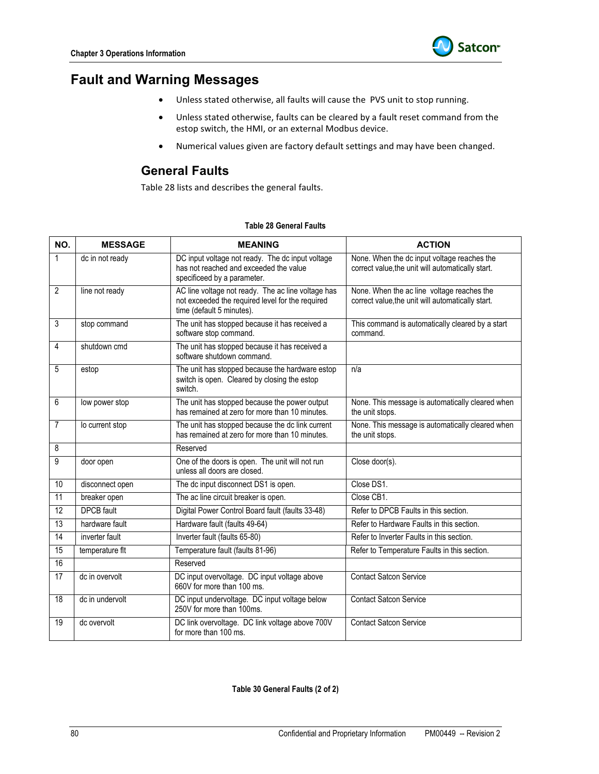

# **Fault and Warning Messages**

- Unless stated otherwise, all faults will cause the PVS unit to stop running.
- Unless stated otherwise, faults can be cleared by a fault reset command from the estop switch, the HMI, or an external Modbus device.
- Numerical values given are factory default settings and may have been changed.

### **General Faults**

Table 28 lists and describes the general faults.

| NO.             | <b>MESSAGE</b>    | <b>MEANING</b>                                                                                                                      | <b>ACTION</b>                                                                                    |
|-----------------|-------------------|-------------------------------------------------------------------------------------------------------------------------------------|--------------------------------------------------------------------------------------------------|
| 1               | dc in not ready   | DC input voltage not ready. The dc input voltage<br>has not reached and exceeded the value<br>specificeed by a parameter.           | None. When the dc input voltage reaches the<br>correct value, the unit will automatically start. |
| $\overline{2}$  | line not ready    | AC line voltage not ready. The ac line voltage has<br>not exceeded the required level for the required<br>time (default 5 minutes). | None. When the ac line voltage reaches the<br>correct value, the unit will automatically start.  |
| 3               | stop command      | The unit has stopped because it has received a<br>software stop command.                                                            | This command is automatically cleared by a start<br>command.                                     |
| 4               | shutdown cmd      | The unit has stopped because it has received a<br>software shutdown command.                                                        |                                                                                                  |
| 5               | estop             | The unit has stopped because the hardware estop<br>switch is open. Cleared by closing the estop<br>switch.                          | n/a                                                                                              |
| 6               | low power stop    | The unit has stopped because the power output<br>has remained at zero for more than 10 minutes.                                     | None. This message is automatically cleared when<br>the unit stops.                              |
| $\overline{7}$  | lo current stop   | The unit has stopped because the dc link current<br>has remained at zero for more than 10 minutes.                                  | None. This message is automatically cleared when<br>the unit stops.                              |
| 8               |                   | Reserved                                                                                                                            |                                                                                                  |
| $\overline{9}$  | door open         | One of the doors is open. The unit will not run<br>unless all doors are closed.                                                     | Close door(s).                                                                                   |
| 10              | disconnect open   | The dc input disconnect DS1 is open.                                                                                                | Close DS1.                                                                                       |
| 11              | breaker open      | The ac line circuit breaker is open.                                                                                                | Close CB1.                                                                                       |
| $\overline{12}$ | <b>DPCB</b> fault | Digital Power Control Board fault (faults 33-48)                                                                                    | Refer to DPCB Faults in this section.                                                            |
| 13              | hardware fault    | Hardware fault (faults 49-64)                                                                                                       | Refer to Hardware Faults in this section.                                                        |
| $\overline{14}$ | inverter fault    | Inverter fault (faults 65-80)                                                                                                       | Refer to Inverter Faults in this section.                                                        |
| 15              | temperature flt   | Temperature fault (faults 81-96)                                                                                                    | Refer to Temperature Faults in this section.                                                     |
| 16              |                   | Reserved                                                                                                                            |                                                                                                  |
| $\overline{17}$ | dc in overvolt    | DC input overvoltage. DC input voltage above<br>660V for more than 100 ms.                                                          | <b>Contact Satcon Service</b>                                                                    |
| 18              | dc in undervolt   | DC input undervoltage. DC input voltage below<br>250V for more than 100ms.                                                          | <b>Contact Satcon Service</b>                                                                    |
| 19              | dc overvolt       | DC link overvoltage. DC link voltage above 700V<br>for more than 100 ms.                                                            | <b>Contact Satcon Service</b>                                                                    |

### **Table 28 General Faults**

### **Table 30 General Faults (2 of 2)**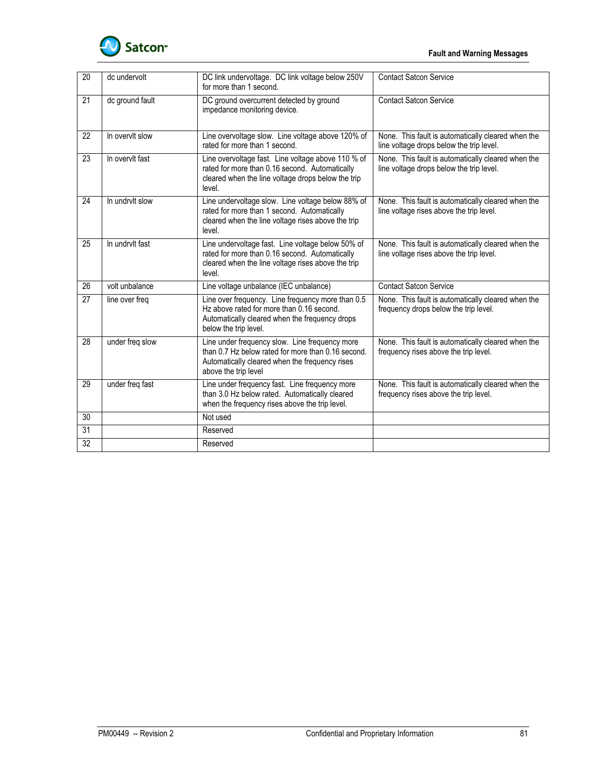

| 20 | dc undervolt    | DC link undervoltage. DC link voltage below 250V<br>for more than 1 second.                                                                                                    | <b>Contact Satcon Service</b>                                                                  |
|----|-----------------|--------------------------------------------------------------------------------------------------------------------------------------------------------------------------------|------------------------------------------------------------------------------------------------|
| 21 | dc ground fault | DC ground overcurrent detected by ground<br>impedance monitoring device.                                                                                                       | <b>Contact Satcon Service</b>                                                                  |
| 22 | In overvit slow | Line overvoltage slow. Line voltage above 120% of<br>rated for more than 1 second.                                                                                             | None. This fault is automatically cleared when the<br>line voltage drops below the trip level. |
| 23 | In overvit fast | Line overvoltage fast. Line voltage above 110 % of<br>rated for more than 0.16 second. Automatically<br>cleared when the line voltage drops below the trip<br>level.           | None. This fault is automatically cleared when the<br>line voltage drops below the trip level. |
| 24 | In undrvlt slow | Line undervoltage slow. Line voltage below 88% of<br>rated for more than 1 second. Automatically<br>cleared when the line voltage rises above the trip<br>level.               | None. This fault is automatically cleared when the<br>line voltage rises above the trip level. |
| 25 | In undrvlt fast | Line undervoltage fast. Line voltage below 50% of<br>rated for more than 0.16 second. Automatically<br>cleared when the line voltage rises above the trip<br>level.            | None. This fault is automatically cleared when the<br>line voltage rises above the trip level. |
| 26 | volt unbalance  | Line voltage unbalance (IEC unbalance)                                                                                                                                         | <b>Contact Satcon Service</b>                                                                  |
| 27 | line over freq  | Line over frequency. Line frequency more than 0.5<br>Hz above rated for more than 0.16 second.<br>Automatically cleared when the frequency drops<br>below the trip level.      | None. This fault is automatically cleared when the<br>frequency drops below the trip level.    |
| 28 | under freq slow | Line under frequency slow. Line frequency more<br>than 0.7 Hz below rated for more than 0.16 second.<br>Automatically cleared when the frequency rises<br>above the trip level | None. This fault is automatically cleared when the<br>frequency rises above the trip level.    |
| 29 | under freq fast | Line under frequency fast. Line frequency more<br>than 3.0 Hz below rated. Automatically cleared<br>when the frequency rises above the trip level.                             | None. This fault is automatically cleared when the<br>frequency rises above the trip level.    |
| 30 |                 | Not used                                                                                                                                                                       |                                                                                                |
| 31 |                 | Reserved                                                                                                                                                                       |                                                                                                |
| 32 |                 | Reserved                                                                                                                                                                       |                                                                                                |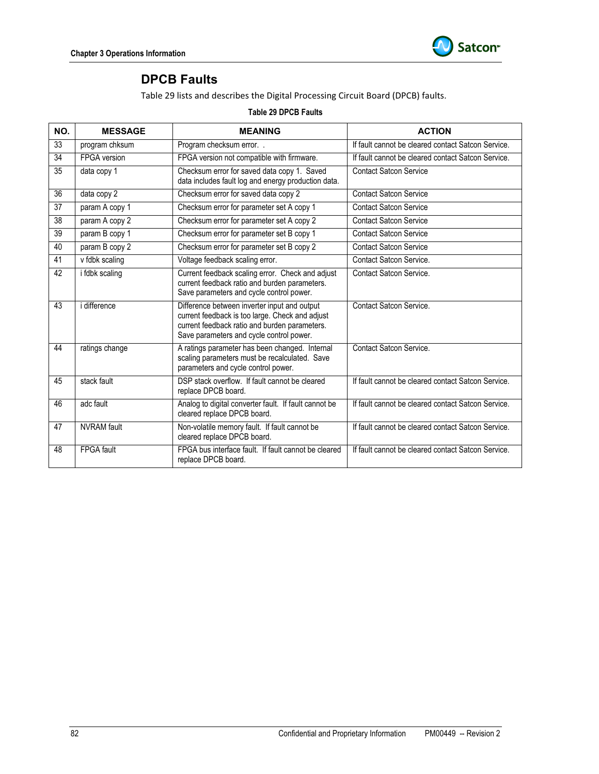

# **DPCB Faults**

Table 29 lists and describes the Digital Processing Circuit Board (DPCB) faults.

#### **Table 29 DPCB Faults**

| NO. | <b>MESSAGE</b>      | <b>MEANING</b>                                                                                                                                                                               | <b>ACTION</b>                                      |
|-----|---------------------|----------------------------------------------------------------------------------------------------------------------------------------------------------------------------------------------|----------------------------------------------------|
| 33  | program chksum      | Program checksum error. .                                                                                                                                                                    | If fault cannot be cleared contact Satcon Service. |
| 34  | FPGA version        | FPGA version not compatible with firmware.                                                                                                                                                   | If fault cannot be cleared contact Satcon Service. |
| 35  | data copy 1         | Checksum error for saved data copy 1. Saved<br>data includes fault log and energy production data.                                                                                           | Contact Satcon Service                             |
| 36  | data copy 2         | Checksum error for saved data copy 2                                                                                                                                                         | <b>Contact Satcon Service</b>                      |
| 37  | param A copy 1      | Checksum error for parameter set A copy 1                                                                                                                                                    | <b>Contact Satcon Service</b>                      |
| 38  | param A copy 2      | Checksum error for parameter set A copy 2                                                                                                                                                    | <b>Contact Satcon Service</b>                      |
| 39  | param B copy 1      | Checksum error for parameter set B copy 1                                                                                                                                                    | <b>Contact Satcon Service</b>                      |
| 40  | param B copy 2      | Checksum error for parameter set B copy 2                                                                                                                                                    | <b>Contact Satcon Service</b>                      |
| 41  | v fdbk scaling      | Voltage feedback scaling error.                                                                                                                                                              | <b>Contact Satcon Service.</b>                     |
| 42  | i fdbk scaling      | Current feedback scaling error. Check and adjust<br>current feedback ratio and burden parameters.<br>Save parameters and cycle control power.                                                | <b>Contact Satcon Service.</b>                     |
| 43  | <i>i</i> difference | Difference between inverter input and output<br>current feedback is too large. Check and adjust<br>current feedback ratio and burden parameters.<br>Save parameters and cycle control power. | <b>Contact Satcon Service.</b>                     |
| 44  | ratings change      | A ratings parameter has been changed. Internal<br>scaling parameters must be recalculated. Save<br>parameters and cycle control power.                                                       | <b>Contact Satcon Service.</b>                     |
| 45  | stack fault         | DSP stack overflow. If fault cannot be cleared<br>replace DPCB board.                                                                                                                        | If fault cannot be cleared contact Satcon Service. |
| 46  | adc fault           | Analog to digital converter fault. If fault cannot be<br>cleared replace DPCB board.                                                                                                         | If fault cannot be cleared contact Satcon Service. |
| 47  | <b>NVRAM</b> fault  | Non-volatile memory fault. If fault cannot be<br>cleared replace DPCB board.                                                                                                                 | If fault cannot be cleared contact Satcon Service. |
| 48  | <b>FPGA</b> fault   | FPGA bus interface fault. If fault cannot be cleared<br>replace DPCB board.                                                                                                                  | If fault cannot be cleared contact Satcon Service. |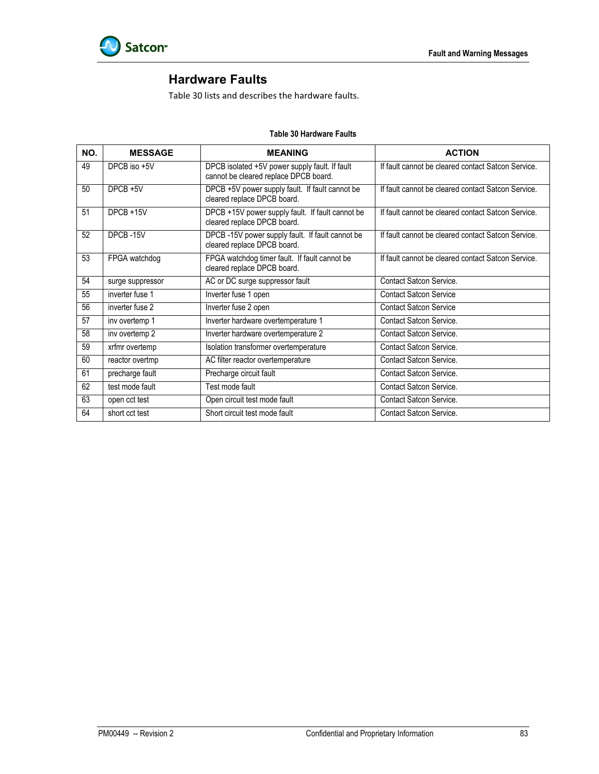

# **Hardware Faults**

Table 30 lists and describes the hardware faults.

| NO. | <b>MESSAGE</b>   | <b>MEANING</b>                                                                          | <b>ACTION</b>                                      |
|-----|------------------|-----------------------------------------------------------------------------------------|----------------------------------------------------|
| 49  | DPCB iso +5V     | DPCB isolated +5V power supply fault. If fault<br>cannot be cleared replace DPCB board. | If fault cannot be cleared contact Satcon Service. |
| 50  | DPCB +5V         | DPCB +5V power supply fault. If fault cannot be<br>cleared replace DPCB board.          | If fault cannot be cleared contact Satcon Service. |
| 51  | DPCB +15V        | DPCB +15V power supply fault. If fault cannot be<br>cleared replace DPCB board.         | If fault cannot be cleared contact Satcon Service. |
| 52  | DPCB-15V         | DPCB -15V power supply fault. If fault cannot be<br>cleared replace DPCB board.         | If fault cannot be cleared contact Satcon Service. |
| 53  | FPGA watchdog    | FPGA watchdog timer fault. If fault cannot be<br>cleared replace DPCB board.            | If fault cannot be cleared contact Satcon Service. |
| 54  | surge suppressor | AC or DC surge suppressor fault                                                         | <b>Contact Satcon Service.</b>                     |
| 55  | inverter fuse 1  | Inverter fuse 1 open                                                                    | <b>Contact Satcon Service</b>                      |
| 56  | inverter fuse 2  | Inverter fuse 2 open                                                                    | <b>Contact Satcon Service</b>                      |
| 57  | inv overtemp 1   | Inverter hardware overtemperature 1                                                     | <b>Contact Satcon Service.</b>                     |
| 58  | inv overtemp 2   | Inverter hardware overtemperature 2                                                     | <b>Contact Satcon Service.</b>                     |
| 59  | xrfmr overtemp   | Isolation transformer overtemperature                                                   | <b>Contact Satcon Service.</b>                     |
| 60  | reactor overtmp  | AC filter reactor overtemperature                                                       | <b>Contact Satcon Service.</b>                     |
| 61  | precharge fault  | Precharge circuit fault                                                                 | <b>Contact Satcon Service.</b>                     |
| 62  | test mode fault  | Test mode fault                                                                         | <b>Contact Satcon Service.</b>                     |
| 63  | open cct test    | Open circuit test mode fault                                                            | Contact Satcon Service.                            |
| 64  | short cct test   | Short circuit test mode fault                                                           | Contact Satcon Service.                            |

#### **Table 30 Hardware Faults**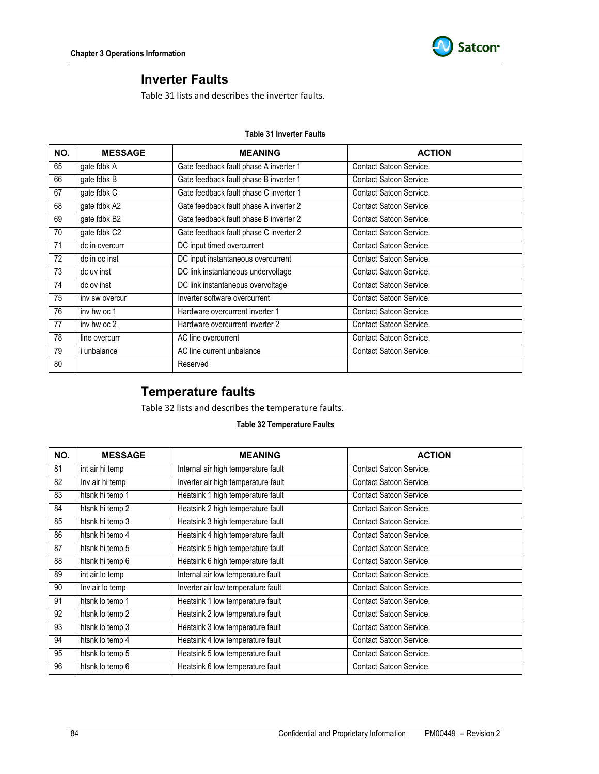

### **Inverter Faults**

Table 31 lists and describes the inverter faults.

#### **Table 31 Inverter Faults**

| NO. | <b>MESSAGE</b>     | <b>MEANING</b>                         | <b>ACTION</b>                  |
|-----|--------------------|----------------------------------------|--------------------------------|
| 65  | gate fdbk A        | Gate feedback fault phase A inverter 1 | <b>Contact Satcon Service.</b> |
| 66  | gate fdbk B        | Gate feedback fault phase B inverter 1 | Contact Satcon Service.        |
| 67  | gate fdbk C        | Gate feedback fault phase C inverter 1 | Contact Satcon Service.        |
| 68  | gate fdbk A2       | Gate feedback fault phase A inverter 2 | Contact Satcon Service.        |
| 69  | gate fdbk B2       | Gate feedback fault phase B inverter 2 | Contact Satcon Service.        |
| 70  | gate fdbk C2       | Gate feedback fault phase C inverter 2 | Contact Satcon Service.        |
| 71  | dc in overcurr     | DC input timed overcurrent             | <b>Contact Satcon Service.</b> |
| 72  | dc in oc inst      | DC input instantaneous overcurrent     | Contact Satcon Service.        |
| 73  | dc uv inst         | DC link instantaneous undervoltage     | <b>Contact Satcon Service.</b> |
| 74  | dc ov inst         | DC link instantaneous overvoltage      | <b>Contact Satcon Service.</b> |
| 75  | inv sw overcur     | Inverter software overcurrent          | <b>Contact Satcon Service.</b> |
| 76  | inv hw oc 1        | Hardware overcurrent inverter 1        | Contact Satcon Service.        |
| 77  | iny hw oc 2        | Hardware overcurrent inverter 2        | Contact Satcon Service.        |
| 78  | line overcurr      | AC line overcurrent                    | Contact Satcon Service.        |
| 79  | <i>i</i> unbalance | AC line current unbalance              | <b>Contact Satcon Service.</b> |
| 80  |                    | Reserved                               |                                |

## **Temperature faults**

Table 32 lists and describes the temperature faults.

### **Table 32 Temperature Faults**

| NO. | <b>MESSAGE</b>  | <b>MEANING</b>                      | <b>ACTION</b>                  |
|-----|-----------------|-------------------------------------|--------------------------------|
| 81  | int air hi temp | Internal air high temperature fault | <b>Contact Satcon Service.</b> |
| 82  | Inv air hi temp | Inverter air high temperature fault | Contact Satcon Service.        |
| 83  | htsnk hi temp 1 | Heatsink 1 high temperature fault   | Contact Satcon Service.        |
| 84  | htsnk hi temp 2 | Heatsink 2 high temperature fault   | <b>Contact Satcon Service.</b> |
| 85  | htsnk hi temp 3 | Heatsink 3 high temperature fault   | <b>Contact Satcon Service.</b> |
| 86  | htsnk hi temp 4 | Heatsink 4 high temperature fault   | <b>Contact Satcon Service.</b> |
| 87  | htsnk hi temp 5 | Heatsink 5 high temperature fault   | Contact Satcon Service.        |
| 88  | htsnk hi temp 6 | Heatsink 6 high temperature fault   | Contact Satcon Service.        |
| 89  | int air lo temp | Internal air low temperature fault  | Contact Satcon Service.        |
| 90  | Inv air lo temp | Inverter air low temperature fault  | Contact Satcon Service.        |
| 91  | htsnk lo temp 1 | Heatsink 1 low temperature fault    | <b>Contact Satcon Service.</b> |
| 92  | htsnk lo temp 2 | Heatsink 2 low temperature fault    | <b>Contact Satcon Service.</b> |
| 93  | htsnk lo temp 3 | Heatsink 3 low temperature fault    | <b>Contact Satcon Service.</b> |
| 94  | htsnk lo temp 4 | Heatsink 4 low temperature fault    | <b>Contact Satcon Service.</b> |
| 95  | htsnk lo temp 5 | Heatsink 5 low temperature fault    | <b>Contact Satcon Service.</b> |
| 96  | htsnk lo temp 6 | Heatsink 6 low temperature fault    | Contact Satcon Service.        |